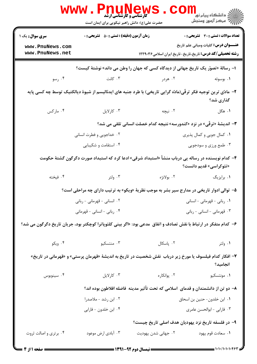|                                    | <b>www.Pnu</b><br><b>کارشناسی و کارشناسی ارشد</b><br>حضرت علی(ع): دانش راهبر نیکویی برای ایمان است |                             | لاد دانشگاه پيام نور <mark>-</mark><br>الا - مرکز آزمون وسنجش                                                               |
|------------------------------------|----------------------------------------------------------------------------------------------------|-----------------------------|-----------------------------------------------------------------------------------------------------------------------------|
| <b>سری سوال :</b> یک ۱             | <b>زمان آزمون (دقیقه) : تستی : 50 ٪ تشریحی : 0</b>                                                 |                             | تعداد سوالات : تستي : 30 ٪ تشريحي : 0                                                                                       |
| www.PnuNews.com<br>www.PnuNews.net |                                                                                                    |                             | <b>عنـــوان درس:</b> کلیات ومبانی علم تاریخ<br><b>رشته تحصیلی/کد درس:</b> تاریخ،تاریخ-تاریخ ایران اسلامی۱۲۲۹۰۳۶             |
|                                    |                                                                                                    |                             | ا– رسالهٔ «تصوّر یک تاریخ جهانی از دیدگاه کسی که جهان را وطن می داند» نوشتهٔ کیست؟                                          |
| ۰۴ رسو                             | ۰۳ کانت                                                                                            | ۰۲ هردر                     | ۰۱ بوسوئه                                                                                                                   |
|                                    |                                                                                                    |                             | ۲- مادّی ترین توجیه فکر ترقّی(مادّه گرایی تاریخی) با طرد جنبه های ایدئالیسم از شیوهٔ دیالکتیک توسط چه کسی پایه<br>گذاری شد؟ |
| ۰۴ مارکس                           | ۰۳ کارلایل                                                                                         | ۲. نیچه                     | ۱. هگل                                                                                                                      |
|                                    |                                                                                                    |                             | ۳- اندیشهٔ «ترقّی» در نزد «کندورسه» نتیجه کدام خصلت انسانی تلقی می شد؟                                                      |
|                                    | ۰۲ خداجویی و فطرت انسانی                                                                           | ۰۱ کمال جویی و کمال پذیری   |                                                                                                                             |
|                                    | ۰۴ استقامت و شکیبایی                                                                               | ۰۳ طمع ورزی و سودجویی       |                                                                                                                             |
|                                    |                                                                                                    |                             | ۴– کدام نویسنده در رساله یی درباب منشأ «استبداد شرقی» ادعا کرد که استبداد صورت دگرگون گشتهٔ حکومت<br>«تئوکراسی» قدیم دانست؟ |
| ۰۴ فیخته                           | ۰۳ ولتر                                                                                            | ٢. بولانژه                  | ۰۱ برایزیگ                                                                                                                  |
|                                    |                                                                                                    |                             | ۵–  توالی ادوار تاریخی در مدارج سیر بشر به موجب نظریهٔ «ویکو» به ترتیب دارای چه مراحلی است؟                                 |
|                                    | ۰۲ انسانی - قهرمانی - ربانی                                                                        |                             | ۰۱ ربانی - قهرمانی - انسانی                                                                                                 |
|                                    | ۰۴ ربانی - انسانی - قهرمانی                                                                        | ۰۳ قهرمانی - انسانی - ربانی |                                                                                                                             |
|                                    |                                                                                                    |                             | ۶– کدام متفکر در ارتباط با نقش تصادف و اتفاق  مدعی بود: «اگر بینی کلئوپاترا کوچکتر بود، جریان تاریخ دگرگون می شد؟           |
| ۰۴ ویکو                            | ۰۳ منتسکیو                                                                                         | ۰۲ پاسکال                   | ۰۱ ولتر                                                                                                                     |
|                                    |                                                                                                    |                             | ۷– افکار کدام فیلسوف یا مورخ زیر درباب  نقش شخصیت در تاریخ به اندیشهٔ «قهرمان پرستی» و «قهرمانی در تاریخ»<br>انجاميد؟       |
| ۰۴ سينوبوس                         | ۰۳ کارلایل                                                                                         | ۰۲ پوانکار ه                | ۰۱ مونتسکیو                                                                                                                 |
|                                    |                                                                                                    |                             | ۸– دو تن از دانشمندان و قدمای  اسلامی که تحت تأثیر مدینه  فاضله افلاطون بوده اند؟                                           |
|                                    | ۰۲ ابن رشد - ملاصدرا                                                                               |                             | ٠١. ابن خلدون- حنين بن اسحاق                                                                                                |
|                                    | ۰۴ ابن خلدون - فارابي                                                                              |                             | ۰۳ فارابي - ابوالحسن عامري                                                                                                  |
|                                    |                                                                                                    |                             | ۹– در فلسفه تاریخ نزد یهودیان هدف اصلی تاریخ چیست؟                                                                          |
| ۰۴ برتری و اصالت ثروت              | ۰۳ آبادی ارض موعود                                                                                 | ۰۲ جهانی شدن یهودیت         | ٠١. سعادت قوم يهود                                                                                                          |
| = صفحه 1 از 4 =                    |                                                                                                    |                             |                                                                                                                             |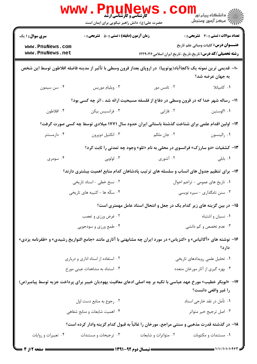|                                                                                           | <b>www.Pnun</b><br><b>کارشناسی و کارشناسی ارشد</b><br>حضرت علی(ع): دانش راهبر نیکویی برای ایمان است |                                                                                                                    | ر دانشگاه پيام نور ■<br>ار⊂ مرکز آزمون وسنجش                                                                                                                                                                                                                                                                                                                                                                          |  |
|-------------------------------------------------------------------------------------------|-----------------------------------------------------------------------------------------------------|--------------------------------------------------------------------------------------------------------------------|-----------------------------------------------------------------------------------------------------------------------------------------------------------------------------------------------------------------------------------------------------------------------------------------------------------------------------------------------------------------------------------------------------------------------|--|
| <b>سری سوال : ۱ یک</b>                                                                    | <b>زمان آزمون (دقیقه) : تستی : 50 ٪ تشریحی : 0</b>                                                  |                                                                                                                    | <b>تعداد سوالات : تستی : 30 ٪ تشریحی : 0</b>                                                                                                                                                                                                                                                                                                                                                                          |  |
| www.PnuNews.com<br>www.PnuNews.net                                                        |                                                                                                     | <b>رشته تحصیلی/کد درس:</b> تاریخ،تاریخ-تاریخ ایران اسلامی۱۲۲۹۰۳۶                                                   | <b>عنــــوان درس:</b> کلیات ومبانی علم تاریخ                                                                                                                                                                                                                                                                                                                                                                          |  |
|                                                                                           |                                                                                                     | ∙ا− قدیمی ترین نمونه یک ناکجاآباد(یوتوپیا)  در اروپای بعداز قرون وسطی با تأثیر از مدینه فاضله افلاطون توسط این شخص | به جهان عرضه شد؟                                                                                                                                                                                                                                                                                                                                                                                                      |  |
| ۰۴ سن سيمون                                                                               | ۰۳ ویلیام موریس                                                                                     | ۰۲ تامس مور                                                                                                        | ٠١. كامپانلا                                                                                                                                                                                                                                                                                                                                                                                                          |  |
|                                                                                           |                                                                                                     | 11- رساله شهر خدا که در قرون وسطی در دفاع از فلسفه مسیحیت ارائه شد ، اثر چه کسی بود؟                               |                                                                                                                                                                                                                                                                                                                                                                                                                       |  |
| ۰۴ افلاطون                                                                                | ۰۳ فرانسیس بیکن                                                                                     | ۰۲ فارابی                                                                                                          | ۰۱ اگوستين                                                                                                                                                                                                                                                                                                                                                                                                            |  |
|                                                                                           |                                                                                                     | ۱۲– اولین اقدام علمی برای شناخت گذشتهٔ باستانی ایران حدود سال ۱۷۷۱ میلادی توسط چه کسی صورت گرفت؟                   |                                                                                                                                                                                                                                                                                                                                                                                                                       |  |
| ۰۴ دارمستتر                                                                               | ۰۳ انکتيل دوپرون                                                                                    | ۰۲ جان ملکم                                                                                                        | ٠١. رالينسون                                                                                                                                                                                                                                                                                                                                                                                                          |  |
|                                                                                           |                                                                                                     | <b>۱۳</b> - کشفیات «دو سارزک» فرانسوی در محلی به نام «تلو» وجود چه تمدنی را ثابت کرد؟                              |                                                                                                                                                                                                                                                                                                                                                                                                                       |  |
| ۰۴ سومری                                                                                  | ۰۳ لولوبی                                                                                           | ۰۲ آشوری                                                                                                           | ۰۱ بابلی                                                                                                                                                                                                                                                                                                                                                                                                              |  |
|                                                                                           |                                                                                                     | ۱۴– برای تنظیم جدول های انساب و سلسله های ترتیب پادشاهان کدام منابع اهمیت بیشتری دارند؟                            |                                                                                                                                                                                                                                                                                                                                                                                                                       |  |
|                                                                                           | ۰۲ نسخ خطی - اسناد تاریخی                                                                           |                                                                                                                    | ۰۱ تاریخ های عمومی - تراجم احوال                                                                                                                                                                                                                                                                                                                                                                                      |  |
| ۴. سکّه ها - کتیبه های تاریخی                                                             |                                                                                                     | ۰۳ سنن نامگذاری - سیره نویسی                                                                                       |                                                                                                                                                                                                                                                                                                                                                                                                                       |  |
|                                                                                           |                                                                                                     | ۱۵– در بین گزینه های زیر کدام یک در جعل و انتحال اسناد عامل مهمتری است؟                                            |                                                                                                                                                                                                                                                                                                                                                                                                                       |  |
| ۰۲ غرض ورزي و تعصب                                                                        |                                                                                                     | ۰۱ نسیان و اشتباه                                                                                                  |                                                                                                                                                                                                                                                                                                                                                                                                                       |  |
| ۰۴ طمع ورزی و سودجویی                                                                     |                                                                                                     | ۰۳ عدم تخصص و کم دانشی                                                                                             |                                                                                                                                                                                                                                                                                                                                                                                                                       |  |
|                                                                                           |                                                                                                     | ۱۶– نوشته های «آگاثیاس» و «کتزیاس» در مورد ایران چه مشابهتی با آثاری مانند «جامع التواریخ رشیدی» و «ظفرنامه یزدی»  | دارد؟                                                                                                                                                                                                                                                                                                                                                                                                                 |  |
|                                                                                           | ۰۲ استفاده از اسناد اداری و درباری                                                                  |                                                                                                                    | ۰۱ تحلیل علمی رویدادهای تاریخی                                                                                                                                                                                                                                                                                                                                                                                        |  |
|                                                                                           | ۰۴ استناد به مشاهدات عینی مورخ                                                                      | ۰۳ بهره گیری از آثار مورخان متعدد                                                                                  |                                                                                                                                                                                                                                                                                                                                                                                                                       |  |
|                                                                                           |                                                                                                     | ۱۷–  «ابوبکر خطیب» مورخ عهد عباسی با تکیه بر چه اصلی ادعای معافیت یهودیان خیبر برای پرداخت جزیه توسط پیامبر(ص)     | را غیر واقعی دانست؟                                                                                                                                                                                                                                                                                                                                                                                                   |  |
|                                                                                           | ۰۲ رجوع به منابع دست اول                                                                            |                                                                                                                    | ۰۱ تأمل در نقد خارجي اسناد                                                                                                                                                                                                                                                                                                                                                                                            |  |
|                                                                                           | ۰۴ اهمیت شایعات و منابع شفاهی                                                                       | ۰۳ اصل ترجیح خبر متواتر                                                                                            |                                                                                                                                                                                                                                                                                                                                                                                                                       |  |
| ۱۸– در گذشته قدرت مذهبی و سنتی مراجع، مورخان را غالباً به قبول کدام گزینه وادار کرده است؟ |                                                                                                     |                                                                                                                    |                                                                                                                                                                                                                                                                                                                                                                                                                       |  |
| ۰۴ تعبیرات و روایات                                                                       | ۰۳ ترجیحات و مستندات                                                                                | ۰۲ متواترات و شایعات                                                                                               | ۰۱ مستندات و مکتوبات                                                                                                                                                                                                                                                                                                                                                                                                  |  |
| <b>: صفحه 2 از 4 =</b>                                                                    |                                                                                                     |                                                                                                                    | $\frac{1}{1-\frac{1}{1-\frac{1}{1-\frac{1}{1-\frac{1}{1-\frac{1}{1-\frac{1}{1-\frac{1}{1-\frac{1}{1-\frac{1}{1-\frac{1}{1-\frac{1}{1-\frac{1}{1-\frac{1}{1-\frac{1}{1-\frac{1}{1-\frac{1}{1-\frac{1}{1-\frac{1}{1-\frac{1}{1-\frac{1}{1-\frac{1}{1-\frac{1}{1-\frac{1}{1-\frac{1}{1-\frac{1}{1-\frac{1}{1-\frac{1}{1-\frac{1}{1-\frac{1}{1-\frac{1}{1-\frac{1}{1-\frac{1}{1-\frac{1}{1-\frac{1}{1-\frac{1}{1-\frac{1$ |  |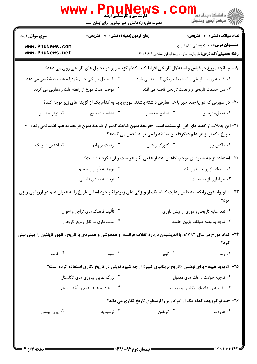| <b>WWW</b>                                                                                                                                                                              | PHUN<br><b>کارشناسی و کارشناسی ارشد</b><br>حضرت علی(ع): دانش راهبر نیکویی برای ایمان است | ews                                                                                                                   | لاد دانشگاه پيام نور <mark>-</mark><br>الا مرکز آزمون وسنجش |  |
|-----------------------------------------------------------------------------------------------------------------------------------------------------------------------------------------|------------------------------------------------------------------------------------------|-----------------------------------------------------------------------------------------------------------------------|-------------------------------------------------------------|--|
| <b>سری سوال : ۱ یک</b>                                                                                                                                                                  | <b>زمان آزمون (دقیقه) : تستی : 50 ٪ تشریحی : 0</b>                                       |                                                                                                                       | <b>تعداد سوالات : تستی : 30 ٪ تشریحی : 0</b>                |  |
| www.PnuNews.com                                                                                                                                                                         |                                                                                          |                                                                                                                       | <b>عنـــوان درس:</b> کلیات ومبانی علم تاریخ                 |  |
| www.PnuNews.net                                                                                                                                                                         |                                                                                          | <b>رشته تحصیلی/کد درس:</b> تاریخ،تاریخ-تاریخ ایران اسلامی۱۲۲۹۰۳۶                                                      |                                                             |  |
|                                                                                                                                                                                         |                                                                                          | ۱۹- چنانچه مورخ در قیاس و استدلال تاریخی افراط کند، کدام گزینه زیر در تحلیل های تاریخی روی می دهد؟                    |                                                             |  |
| ۰۲ استدلال تاریخی جای خودرابه عصبیت شخصی می دهد                                                                                                                                         |                                                                                          | ۰۱ فاصله روایت تاریخی و استنباط تاریخی کاسـته می شود                                                                  |                                                             |  |
| ۰۴ موجب غفلت مورخ از رابطه علت و معلولی می گردد                                                                                                                                         |                                                                                          | ۰۳ بین حقیقت تاریخی و واقعیت تاریخی فاصله می افتد                                                                     |                                                             |  |
|                                                                                                                                                                                         |                                                                                          | +۲- در صورتی که دو یا چند خبر با هم تعارض داشته باشند، مورخ باید به کدام یک از گزینه های زیر توجه کند؟                |                                                             |  |
| ۰۴ تواتر - تبيين                                                                                                                                                                        | ۰۳ تشابه - تصحيح                                                                         | ۰۲ تسامح - تفسیر                                                                                                      | ٠١ تعادل- ترجيح                                             |  |
| ـ11− این جملات از گفته های این  نویسنده است: «قریحهٔ بدون ضابطه کمتر از ضابطهٔ بدون قریحه به علم لطمه نمی زند» ، «<br>تاریخ ، کمتر از هر علم دیگرفقدان ضابطه را می تواند تحمل می کند» ؟ |                                                                                          |                                                                                                                       |                                                             |  |
| ۰۴ اشتفن تسوایک                                                                                                                                                                         | ۰۳ ارنست برنهایم                                                                         | ۰۲ گئورک وايتس                                                                                                        | ۰۱ ماکس وبر                                                 |  |
| <b>۲۲</b> – استفاده از چه شیوه ای موجب کاهش اعتبار علمی آثار «ارنست رنان» گردیده است؟                                                                                                   |                                                                                          |                                                                                                                       |                                                             |  |
| ۰۲ توجه به تأویل و تعمیم                                                                                                                                                                |                                                                                          | ۰۱ استفاده از روایت بدون نقد                                                                                          |                                                             |  |
| ۰۴ توجه به مبادی فلسفی                                                                                                                                                                  |                                                                                          | ۰۳ طرفداری از مسیحیت                                                                                                  |                                                             |  |
|                                                                                                                                                                                         |                                                                                          | 4۳- «لئوپولد فون رانکه» به دلیل رعایت کدام یک از ویژگی های زیردرآثار خود اساس تاریخ را به عنوان علم در اروپا پی ریزی  |                                                             |  |
| ۰۲ تألیف فرهنگ های تراجم و احوال                                                                                                                                                        |                                                                                          | ۰۱ نقد منابع تاریخی و دوری از پیش داوری                                                                               |                                                             |  |
| ۰۴ امانت داري در نقل وقايع تاريخي                                                                                                                                                       |                                                                                          | ۰۳ توجه به وضع طبقات پایین جامعه                                                                                      |                                                             |  |
|                                                                                                                                                                                         |                                                                                          | ۲۴– کدام مورخ در سال ۱۷۹۳م. با اندیشیدن دربارهٔ انقلاب فرانسه ً و همجوشی و همدردی با تاریخ ، ظهور ناپلئون را پیش بینی | کرد؟                                                        |  |
| ۰۴ کانت                                                                                                                                                                                 | ۰۳ شیلر                                                                                  | ۰۲ گیبون                                                                                                              | ۰۱ ولتر                                                     |  |
|                                                                                                                                                                                         |                                                                                          | ۲۵- «دیوید هیوم» برای نوشتن «تاریخ بریتانیای کبیر» از چه شیوه نوینی در تاریخ نگاری استفاده کرده است؟                  |                                                             |  |
| ۰۲ بزرگ نمایی پیروزی های انگلستان                                                                                                                                                       |                                                                                          | ٠١ توجيه حوادث با علت هاى معقول                                                                                       |                                                             |  |
| ۰۴ استناد به همه منابع ومآخذ تاريخي                                                                                                                                                     |                                                                                          | ۰۳ مقایسه رویدادهای انگلیس و فرانسه                                                                                   |                                                             |  |
| <b>۲۶</b> - «بندتو کروچه» کدام یک از افراد زیر را ارسطوی تاریخ نگاری می داند؟                                                                                                           |                                                                                          |                                                                                                                       |                                                             |  |
| ۰۴ پولی بیوس                                                                                                                                                                            | ۰۳ توسیدید                                                                               | ۰۲ گزنفون                                                                                                             | ۰۱ هرودت                                                    |  |
|                                                                                                                                                                                         |                                                                                          |                                                                                                                       |                                                             |  |